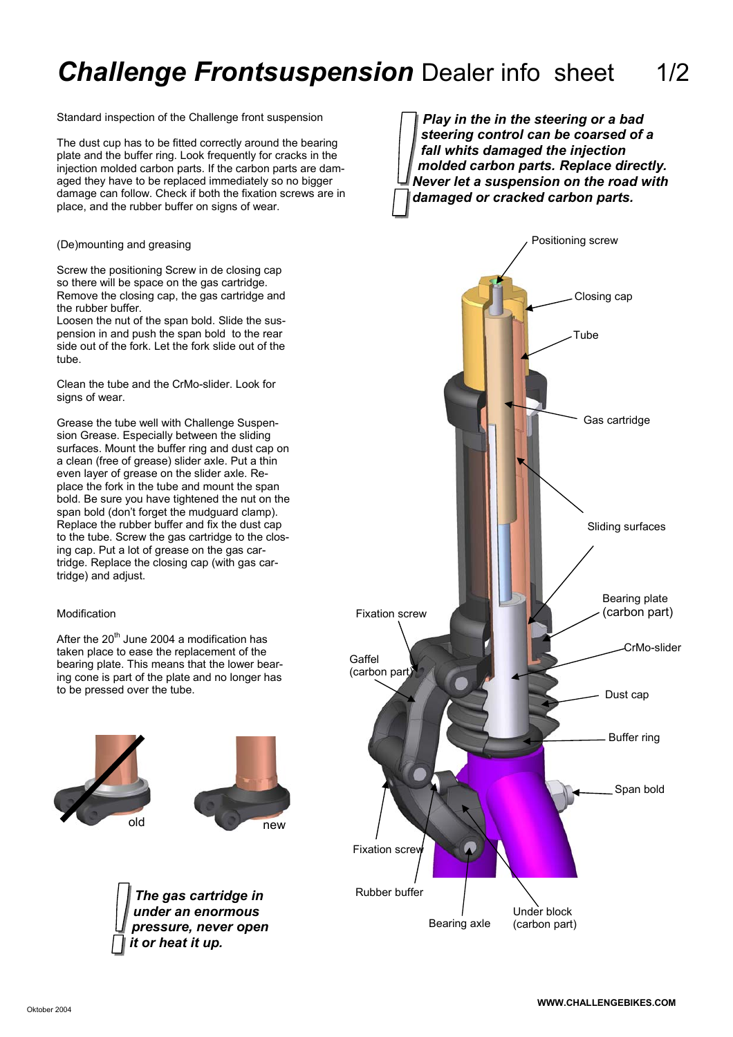## **Challenge Frontsuspension** Dealer info sheet 1/2

Standard inspection of the Challenge front suspension

The dust cup has to be fitted correctly around the bearing plate and the buffer ring. Look frequently for cracks in the injection molded carbon parts. If the carbon parts are damaged they have to be replaced immediately so no bigger damage can follow. Check if both the fixation screws are in place, and the rubber buffer on signs of wear.

(De)mounting and greasing

Screw the positioning Screw in de closing cap so there will be space on the gas cartridge. Remove the closing cap, the gas cartridge and the rubber buffer.

Loosen the nut of the span bold. Slide the suspension in and push the span bold to the rear side out of the fork. Let the fork slide out of the tube.

Clean the tube and the CrMo-slider. Look for signs of wear.

Grease the tube well with Challenge Suspension Grease. Especially between the sliding surfaces. Mount the buffer ring and dust cap on a clean (free of grease) slider axle. Put a thin even layer of grease on the slider axle. Replace the fork in the tube and mount the span bold. Be sure you have tightened the nut on the span bold (don't forget the mudguard clamp). Replace the rubber buffer and fix the dust cap to the tube. Screw the gas cartridge to the closing cap. Put a lot of grease on the gas cartridge. Replace the closing cap (with gas cartridge) and adjust.

## Modification

After the  $20<sup>th</sup>$  June 2004 a modification has taken place to ease the replacement of the bearing plate. This means that the lower bearing cone is part of the plate and no longer has to be pressed over the tube.







*Play in the in the steering or a bad steering control can be coarsed of a fall whits damaged the injection molded carbon parts. Replace directly. Never let a suspension on the road with damaged or cracked carbon parts.*